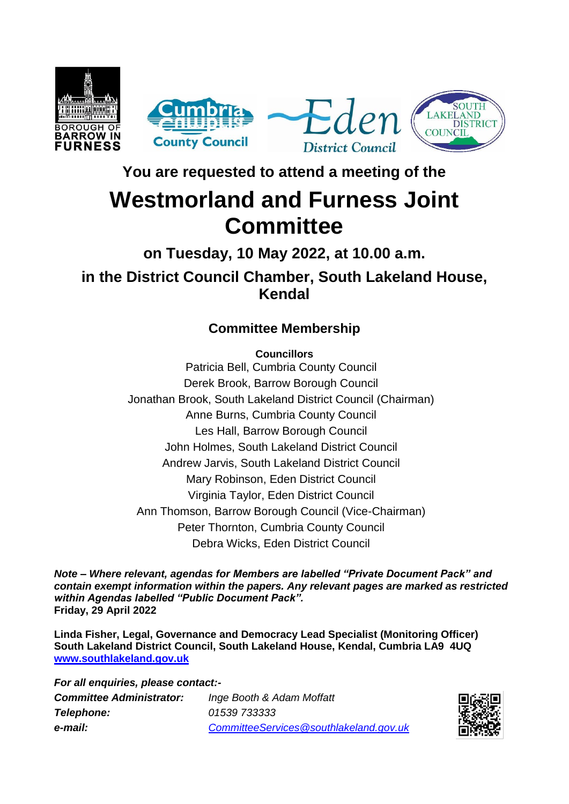

**You are requested to attend a meeting of the**

## **Westmorland and Furness Joint Committee**

**on Tuesday, 10 May 2022, at 10.00 a.m. in the District Council Chamber, South Lakeland House, Kendal**

## **Committee Membership**

**Councillors**

Patricia Bell, Cumbria County Council Derek Brook, Barrow Borough Council Jonathan Brook, South Lakeland District Council (Chairman) Anne Burns, Cumbria County Council Les Hall, Barrow Borough Council John Holmes, South Lakeland District Council Andrew Jarvis, South Lakeland District Council Mary Robinson, Eden District Council Virginia Taylor, Eden District Council Ann Thomson, Barrow Borough Council (Vice-Chairman) Peter Thornton, Cumbria County Council Debra Wicks, Eden District Council

*Note – Where relevant, agendas for Members are labelled "Private Document Pack" and contain exempt information within the papers. Any relevant pages are marked as restricted within Agendas labelled "Public Document Pack".* **Friday, 29 April 2022**

**Linda Fisher, Legal, Governance and Democracy Lead Specialist (Monitoring Officer) South Lakeland District Council, South Lakeland House, Kendal, Cumbria LA9 4UQ [www.southlakeland.gov.uk](http://www.southlakeland.gov.uk/)**

*For all enquiries, please contact:- Committee Administrator: Inge Booth & Adam Moffatt Telephone: 01539 733333 e-mail: CommitteeServices@southlakeland.gov.uk*

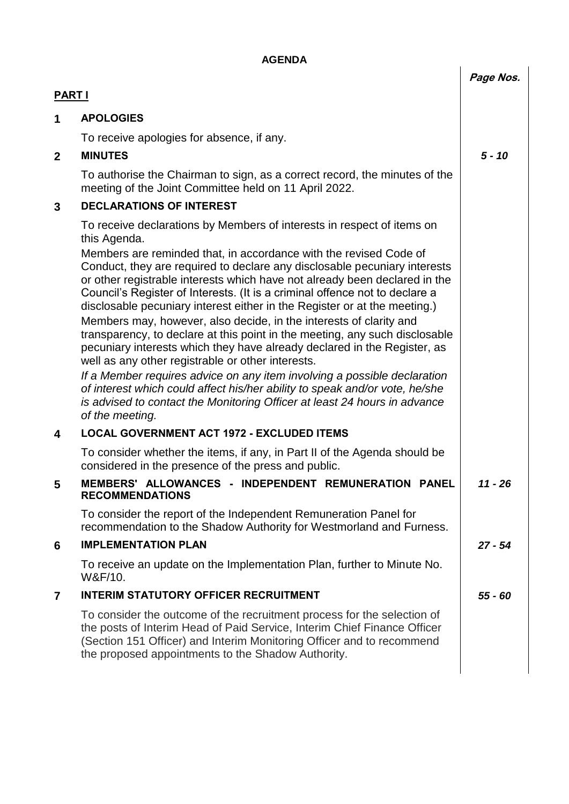| <b>AGENDA</b> |                                                                                                                                                                                                                                                                                                              |           |
|---------------|--------------------------------------------------------------------------------------------------------------------------------------------------------------------------------------------------------------------------------------------------------------------------------------------------------------|-----------|
|               |                                                                                                                                                                                                                                                                                                              | Page Nos. |
| <b>PART I</b> |                                                                                                                                                                                                                                                                                                              |           |
| 1             | <b>APOLOGIES</b>                                                                                                                                                                                                                                                                                             |           |
|               | To receive apologies for absence, if any.                                                                                                                                                                                                                                                                    |           |
| $\mathbf{2}$  | <b>MINUTES</b>                                                                                                                                                                                                                                                                                               | $5 - 10$  |
|               | To authorise the Chairman to sign, as a correct record, the minutes of the<br>meeting of the Joint Committee held on 11 April 2022.                                                                                                                                                                          |           |
| 3             | <b>DECLARATIONS OF INTEREST</b>                                                                                                                                                                                                                                                                              |           |
|               | To receive declarations by Members of interests in respect of items on<br>this Agenda.<br>Members are reminded that, in accordance with the revised Code of<br>Conduct, they are required to declare any disclosable pecuniary interests                                                                     |           |
|               | or other registrable interests which have not already been declared in the<br>Council's Register of Interests. (It is a criminal offence not to declare a<br>disclosable pecuniary interest either in the Register or at the meeting.)<br>Members may, however, also decide, in the interests of clarity and |           |
|               | transparency, to declare at this point in the meeting, any such disclosable<br>pecuniary interests which they have already declared in the Register, as<br>well as any other registrable or other interests.                                                                                                 |           |
|               | If a Member requires advice on any item involving a possible declaration<br>of interest which could affect his/her ability to speak and/or vote, he/she<br>is advised to contact the Monitoring Officer at least 24 hours in advance<br>of the meeting.                                                      |           |
| 4             | <b>LOCAL GOVERNMENT ACT 1972 - EXCLUDED ITEMS</b>                                                                                                                                                                                                                                                            |           |
|               | To consider whether the items, if any, in Part II of the Agenda should be<br>considered in the presence of the press and public.                                                                                                                                                                             |           |
| 5             | MEMBERS' ALLOWANCES - INDEPENDENT REMUNERATION PANEL<br><b>RECOMMENDATIONS</b>                                                                                                                                                                                                                               | $11 - 26$ |
|               | To consider the report of the Independent Remuneration Panel for<br>recommendation to the Shadow Authority for Westmorland and Furness.                                                                                                                                                                      |           |
| 6             | <b>IMPLEMENTATION PLAN</b>                                                                                                                                                                                                                                                                                   | $27 - 54$ |
|               | To receive an update on the Implementation Plan, further to Minute No.<br>W&F/10.                                                                                                                                                                                                                            |           |
| 7             | <b>INTERIM STATUTORY OFFICER RECRUITMENT</b>                                                                                                                                                                                                                                                                 | $55 - 60$ |
|               | To consider the outcome of the recruitment process for the selection of<br>the posts of Interim Head of Paid Service, Interim Chief Finance Officer<br>(Section 151 Officer) and Interim Monitoring Officer and to recommend<br>the proposed appointments to the Shadow Authority.                           |           |
|               |                                                                                                                                                                                                                                                                                                              |           |